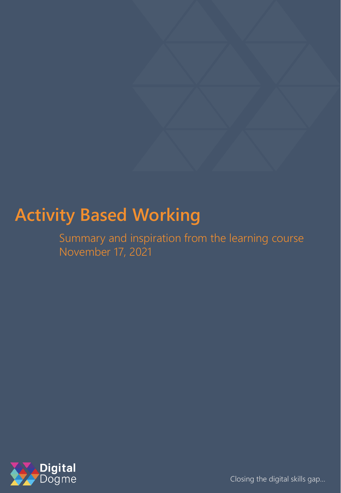# **Activity Based Working**

Summary and inspiration from the learning course November 17, 2021



Closing the digital skills gap…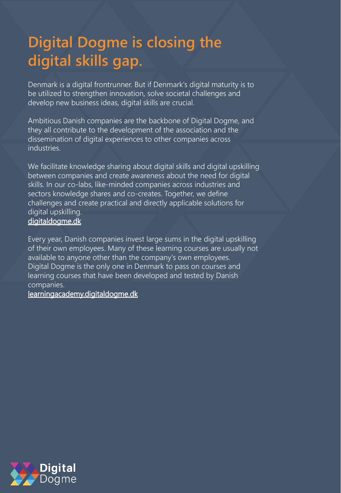# **Digital Dogme is closing the digital skills gap.**

Denmark is a digital frontrunner. But if Denmark's digital maturity is to be utilized to strengthen innovation, solve societal challenges and develop new business ideas, digital skills are crucial.

Ambitious Danish companies are the backbone of Digital Dogme, and they all contribute to the development of the association and the dissemination of digital experiences to other companies across industries.

We facilitate knowledge sharing about digital skills and digital upskilling between companies and create awareness about the need for digital skills. In our co-labs, like-minded companies across industries and sectors knowledge shares and co-creates. Together, we define challenges and create practical and directly applicable solutions for digital upskilling.

#### digitaldogme.dk

Every year, Danish companies invest large sums in the digital upskilling of their own employees. Many of these learning courses are usually not available to anyone other than the company's own employees. Digital Dogme is the only one in Denmark to pass on courses and learning courses that have been developed and tested by Danish companies.

#### learningacademy.digitaldogme.dk

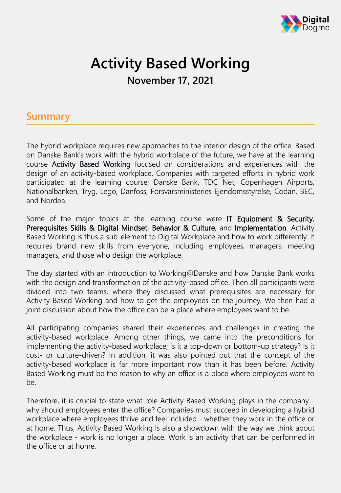

## **Activity Based Working November 17, 2021**

#### **Summary**

The hybrid workplace requires new approaches to the interior design of the office. Based on Danske Bank's work with the hybrid workplace of the future, we have at the learning course Activity Based Working focused on considerations and experiences with the design of an activity-based workplace. Companies with targeted efforts in hybrid work participated at the learning course; Danske Bank, TDC Net, Copenhagen Airports, Nationalbanken, Tryg, Lego, Danfoss, Forsvarsministeries Ejendomsstyrelse, Codan, BEC, and Nordea.

Some of the major topics at the learning course were IT Equipment & Security, Prerequisites Skills & Digital Mindset, Behavior & Culture, and Implementation. Activity Based Working is thus a sub-element to Digital Workplace and how to work differently. It requires brand new skills from everyone, including employees, managers, meeting managers, and those who design the workplace.

The day started with an introduction to Working@Danske and how Danske Bank works with the design and transformation of the activity-based office. Then all participants were divided into two teams, where they discussed what prerequisites are necessary for Activity Based Working and how to get the employees on the journey. We then had a joint discussion about how the office can be a place where employees want to be.

All participating companies shared their experiences and challenges in creating the activity-based workplace. Among other things, we came into the preconditions for implementing the activity-based workplace; is it a top-down or bottom-up strategy? Is it cost- or culture-driven? In addition, it was also pointed out that the concept of the activity-based workplace is far more important now than it has been before. Activity Based Working must be the reason to why an office is a place where employees want to be.

Therefore, it is crucial to state what role Activity Based Working plays in the company why should employees enter the office? Companies must succeed in developing a hybrid workplace where employees thrive and feel included - whether they work in the office or at home. Thus, Activity Based Working is also a showdown with the way we think about the workplace - work is no longer a place. Work is an activity that can be performed in the office or at home.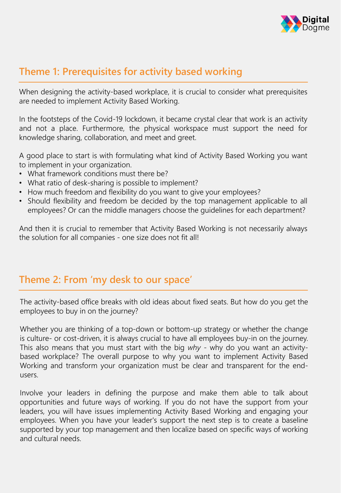

### **Theme 1: Prerequisites for activity based working**

When designing the activity-based workplace, it is crucial to consider what prerequisites are needed to implement Activity Based Working.

In the footsteps of the Covid-19 lockdown, it became crystal clear that work is an activity and not a place. Furthermore, the physical workspace must support the need for knowledge sharing, collaboration, and meet and greet.

A good place to start is with formulating what kind of Activity Based Working you want to implement in your organization.

- What framework conditions must there be?
- What ratio of desk-sharing is possible to implement?
- How much freedom and flexibility do you want to give your employees?
- Should flexibility and freedom be decided by the top management applicable to all employees? Or can the middle managers choose the guidelines for each department?

And then it is crucial to remember that Activity Based Working is not necessarily always the solution for all companies - one size does not fit all!

#### **Theme 2: From 'my desk to our space'**

The activity-based office breaks with old ideas about fixed seats. But how do you get the employees to buy in on the journey?

Whether you are thinking of a top-down or bottom-up strategy or whether the change is culture- or cost-driven, it is always crucial to have all employees buy-in on the journey. This also means that you must start with the big *why* - why do you want an activitybased workplace? The overall purpose to why you want to implement Activity Based Working and transform your organization must be clear and transparent for the endusers.

Involve your leaders in defining the purpose and make them able to talk about opportunities and future ways of working. If you do not have the support from your leaders, you will have issues implementing Activity Based Working and engaging your employees. When you have your leader's support the next step is to create a baseline supported by your top management and then localize based on specific ways of working and cultural needs.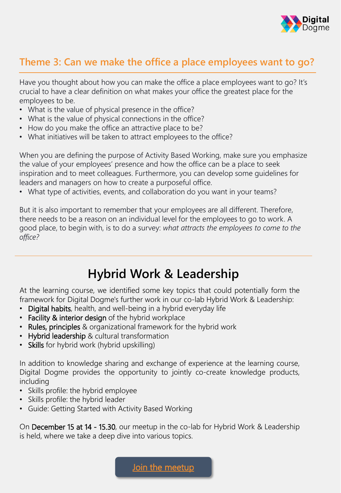

### **Theme 3: Can we make the office a place employees want to go?**

Have you thought about how you can make the office a place employees want to go? It's crucial to have a clear definition on what makes your office the greatest place for the employees to be.

- What is the value of physical presence in the office?
- What is the value of physical connections in the office?
- How do you make the office an attractive place to be?
- What initiatives will be taken to attract employees to the office?

When you are defining the purpose of Activity Based Working, make sure you emphasize the value of your employees' presence and how the office can be a place to seek inspiration and to meet colleagues. Furthermore, you can develop some guidelines for leaders and managers on how to create a purposeful office.

• What type of activities, events, and collaboration do you want in your teams?

But it is also important to remember that your employees are all different. Therefore, there needs to be a reason on an individual level for the employees to go to work. A good place, to begin with, is to do a survey: *what attracts the employees to come to the office?*

## **Hybrid Work & Leadership**

At the learning course, we identified some key topics that could potentially form the framework for Digital Dogme's further work in our co-lab Hybrid Work & Leadership:

- Digital habits, health, and well-being in a hybrid everyday life
- Facility & interior design of the hybrid workplace
- Rules, principles & organizational framework for the hybrid work
- Hybrid leadership & cultural transformation
- Skills for hybrid work (hybrid upskilling)

In addition to knowledge sharing and exchange of experience at the learning course, Digital Dogme provides the opportunity to jointly co-create knowledge products, including

- Skills profile: the hybrid employee
- Skills profile: the hybrid leader
- Guide: Getting Started with Activity Based Working

On December 15 at 14 - 15.30, our meetup in the co-lab for Hybrid Work & Leadership is held, where we take a deep dive into various topics.